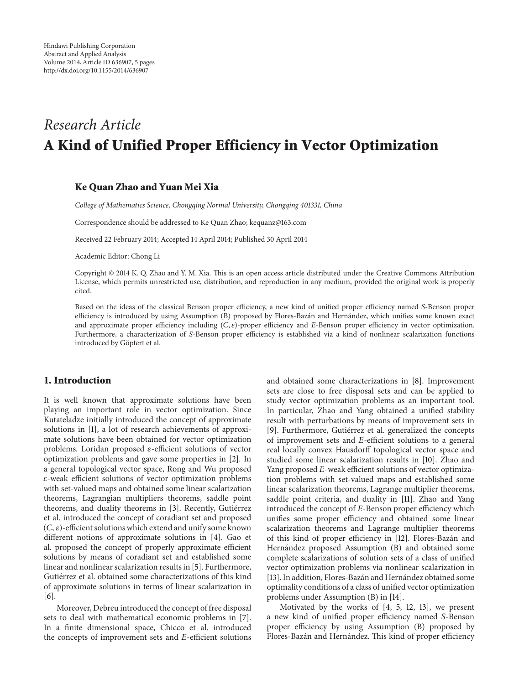# *Research Article* **A Kind of Unified Proper Efficiency in Vector Optimization**

## **Ke Quan Zhao and Yuan Mei Xia**

*College of Mathematics Science, Chongqing Normal University, Chongqing 401331, China*

Correspondence should be addressed to Ke Quan Zhao; kequanz@163.com

Received 22 February 2014; Accepted 14 April 2014; Published 30 April 2014

Academic Editor: Chong Li

Copyright © 2014 K. Q. Zhao and Y. M. Xia. This is an open access article distributed under the Creative Commons Attribution License, which permits unrestricted use, distribution, and reproduction in any medium, provided the original work is properly cited.

Based on the ideas of the classical Benson proper efficiency, a new kind of unified proper efficiency named *S*-Benson proper efficiency is introduced by using Assumption (B) proposed by Flores-Bazán and Hernández, which unifies some known exact and approximate proper efficiency including  $(C, \varepsilon)$ -proper efficiency and *E*-Benson proper efficiency in vector optimization. Furthermore, a characterization of *S*-Benson proper efficiency is established via a kind of nonlinear scalarization functions introduced by Göpfert et al.

#### **1. Introduction**

It is well known that approximate solutions have been playing an important role in vector optimization. Since Kutateladze initially introduced the concept of approximate solutions in [\[1\]](#page-3-0), a lot of research achievements of approximate solutions have been obtained for vector optimization problems. Loridan proposed  $\varepsilon$ -efficient solutions of vector optimization problems and gave some properties in [\[2\]](#page-4-0). In a general topological vector space, Rong and Wu proposed -weak efficient solutions of vector optimization problems with set-valued maps and obtained some linear scalarization theorems, Lagrangian multipliers theorems, saddle point theorems, and duality theorems in [\[3\]](#page-4-1). Recently, Gutiérrez et al. introduced the concept of coradiant set and proposed  $(C, \varepsilon)$ -efficient solutions which extend and unify some known different notions of approximate solutions in [\[4](#page-4-2)]. Gao et al. proposed the concept of properly approximate efficient solutions by means of coradiant set and established some linear and nonlinear scalarization results in [\[5\]](#page-4-3). Furthermore, Gutiérrez et al. obtained some characterizations of this kind of approximate solutions in terms of linear scalarization in [\[6\]](#page-4-4).

Moreover, Debreu introduced the concept of free disposal sets to deal with mathematical economic problems in [\[7\]](#page-4-5). In a finite dimensional space, Chicco et al. introduced the concepts of improvement sets and  $E$ -efficient solutions and obtained some characterizations in [\[8\]](#page-4-6). Improvement sets are close to free disposal sets and can be applied to study vector optimization problems as an important tool. In particular, Zhao and Yang obtained a unified stability result with perturbations by means of improvement sets in [\[9\]](#page-4-7). Furthermore, Gutiérrez et al. generalized the concepts of improvement sets and  $E$ -efficient solutions to a general real locally convex Hausdorff topological vector space and studied some linear scalarization results in [\[10\]](#page-4-8). Zhao and Yang proposed E-weak efficient solutions of vector optimization problems with set-valued maps and established some linear scalarization theorems, Lagrange multiplier theorems, saddle point criteria, and duality in [\[11](#page-4-9)]. Zhao and Yang introduced the concept of  $E$ -Benson proper efficiency which unifies some proper efficiency and obtained some linear scalarization theorems and Lagrange multiplier theorems of this kind of proper efficiency in [\[12](#page-4-10)]. Flores-Bazán and Hernández proposed Assumption (B) and obtained some complete scalarizations of solution sets of a class of unified vector optimization problems via nonlinear scalarization in [\[13\]](#page-4-11). In addition, Flores-Bazán and Hernández obtained some optimality conditions of a class of unified vector optimization problems under Assumption (B) in [\[14\]](#page-4-12).

Motivated by the works of [\[4](#page-4-2), [5,](#page-4-3) [12,](#page-4-10) [13](#page-4-11)], we present a new kind of unified proper efficiency named S-Benson proper efficiency by using Assumption (B) proposed by Flores-Bazán and Hernández. This kind of proper efficiency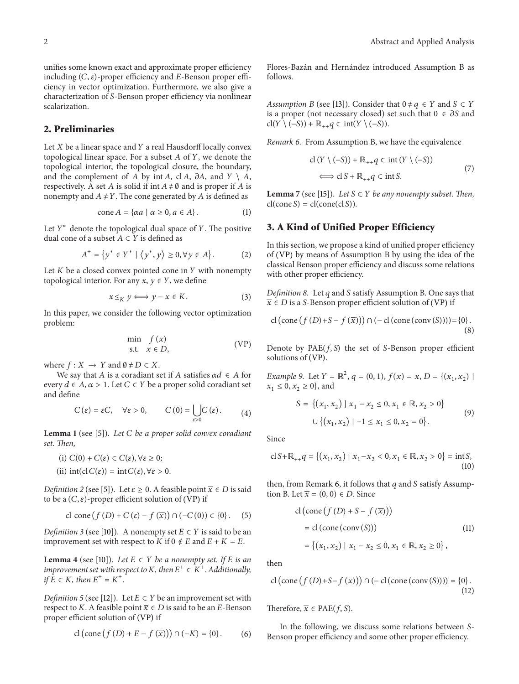unifies some known exact and approximate proper efficiency including  $(C, \varepsilon)$ -proper efficiency and E-Benson proper efficiency in vector optimization. Furthermore, we also give a characterization of S-Benson proper efficiency via nonlinear scalarization.

## **2. Preliminaries**

Let  $X$  be a linear space and  $Y$  a real Hausdorff locally convex topological linear space. For a subset  $A$  of  $Y$ , we denote the topological interior, the topological closure, the boundary, and the complement of A by int A, cl A,  $\partial A$ , and  $Y \setminus A$ , respectively. A set A is solid if int  $A \neq \emptyset$  and is proper if A is nonempty and  $A \neq Y$ . The cone generated by A is defined as

$$
\text{cone}\,A = \{\alpha a \mid \alpha \ge 0, a \in A\} \,. \tag{1}
$$

Let  $Y^*$  denote the topological dual space of Y. The positive dual cone of a subset  $A \subset Y$  is defined as

$$
A^+ = \{ y^* \in Y^* \mid \langle y^*, y \rangle \ge 0, \forall y \in A \}.
$$
 (2)

Let  $K$  be a closed convex pointed cone in  $Y$  with nonempty topological interior. For any  $x, y \in Y$ , we define

$$
x \leq_K y \iff y - x \in K. \tag{3}
$$

In this paper, we consider the following vector optimization problem:

$$
\min_{s.t.} f(x) \tag{VP}
$$

where  $f : X \to Y$  and  $\emptyset \neq D \subset X$ .

We say that A is a coradiant set if A satisfies  $\alpha d \in A$  for every  $d \in A$ ,  $\alpha > 1$ . Let  $C \subset Y$  be a proper solid coradiant set and define

$$
C(\varepsilon) = \varepsilon C, \quad \forall \varepsilon > 0, \qquad C(0) = \bigcup_{\varepsilon > 0} C(\varepsilon). \tag{4}
$$

<span id="page-1-3"></span>**Lemma 1** (see [\[5\]](#page-4-3)). *Let be a proper solid convex coradiant set. Then,*

(i) 
$$
C(0) + C(\varepsilon) \subset C(\varepsilon), \forall \varepsilon \ge 0;
$$
  
(ii)  $int(cl C(\varepsilon)) = int C(\varepsilon), \forall \varepsilon > 0.$ 

*Definition 2* (see [\[5](#page-4-3)]). Let  $\varepsilon \ge 0$ . A feasible point  $\overline{x} \in D$  is said to be a  $(C, \varepsilon)$ -proper efficient solution of ([VP](#page-1-0)) if

$$
\text{cl cone}\left(f\left(D\right)+C\left(\varepsilon\right)-f\left(\overline{x}\right)\right)\cap\left(-C\left(0\right)\right)\subset\left\{0\right\}.\quad(5)
$$

*Definition 3* (see [\[10](#page-4-8)]). A nonempty set  $E \subset Y$  is said to be an improvement set with respect to  $K$  if 0  $\notin E$  and  $E+K=E$ .

<span id="page-1-2"></span>**Lemma 4** (see [\[10](#page-4-8)]). *Let*  $E \subset Y$  *be a nonempty set. If*  $E$  *is an improvement set with respect to*  $K$ *, then*  $E^+ \subset K^+$ *. Additionally, if*  $E \subset K$ *, then*  $E^+ = K^+$ *.* 

*Definition 5* (see [\[12](#page-4-10)]). Let  $E \subset Y$  be an improvement set with respect to K. A feasible point  $\overline{x} \in D$  is said to be an E-Benson proper efficient solution of ([VP](#page-1-0)) if

$$
cl\left(\text{cone}\left(f\left(D\right) + E - f\left(\overline{x}\right)\right)\right) \cap \left(-K\right) = \{0\} \, . \tag{6}
$$

Flores-Bazán and Hernández introduced Assumption B as follows.

*Assumption B* (see [\[13\]](#page-4-11)). Consider that  $0 \neq q \in Y$  and  $S \subset Y$ is a proper (not necessary closed) set such that  $0 \in \partial S$  and  $cl(Y \setminus (-S)) + \mathbb{R}_{++} q \subset int(Y \setminus (-S)).$ 

<span id="page-1-1"></span>*Remark 6.* From Assumption B, we have the equivalence

$$
cl(Y \setminus (-S)) + \mathbb{R}_{++}q \subset int(Y \setminus (-S))
$$
  

$$
\iff clS + \mathbb{R}_{++}q \subset int S.
$$
 (7)

<span id="page-1-4"></span>**Lemma** 7 (see [\[15](#page-4-13)]). *Let*  $S \subset Y$  *be any nonempty subset. Then,*  $cl(\text{cone } S) = cl(\text{cone}(cl S)).$ 

## **3. A Kind of Unified Proper Efficiency**

In this section, we propose a kind of unified proper efficiency of ([VP](#page-1-0)) by means of Assumption B by using the idea of the classical Benson proper efficiency and discuss some relations with other proper efficiency.

*Definition 8.* Let q and S satisfy Assumption B. One says that  $\overline{x} \in D$  is a S-Benson proper efficient solution of ([VP](#page-1-0)) if

cl (cone 
$$
(f(D)+S - f(\overline{x}))
$$
)  $\cap$  (-cl (cone (conv (S)))) = {0}.

<span id="page-1-0"></span>Denote by  $PAE(f, S)$  the set of S-Benson proper efficient solutions of ([VP](#page-1-0)).

*Example 9.* Let  $Y = \mathbb{R}^2$ ,  $q = (0, 1)$ ,  $f(x) = x$ ,  $D = \{(x_1, x_2) \mid$  $x_1 \le 0, x_2 \ge 0$ , and

$$
S = \{(x_1, x_2) | x_1 - x_2 \le 0, x_1 \in \mathbb{R}, x_2 > 0\}
$$
  

$$
\cup \{(x_1, x_2) | -1 \le x_1 \le 0, x_2 = 0\}.
$$
  
(9)

Since

$$
cl S + \mathbb{R}_{++} q = \{ (x_1, x_2) \mid x_1 - x_2 < 0, x_1 \in \mathbb{R}, x_2 > 0 \} = \text{int } S,\tag{10}
$$

then, from Remark [6,](#page-1-1) it follows that  $q$  and  $S$  satisfy Assumption B. Let  $\overline{x} = (0, 0) \in D$ . Since

cl(cone ( () +− ())) = cl(cone (conv ())) = {(1, 2)|<sup>1</sup> − <sup>2</sup> ≤ 0, <sup>1</sup> ∈ R, <sup>2</sup> ≥ 0} , (11)

then

$$
\text{cl} \left(\text{cone}\left(f\left(D\right)+S-f\left(\overline{x}\right)\right)\right) \cap \left(-\text{cl}\left(\text{cone}\left(\text{conv}\left(S\right)\right)\right)\right) = \left\{0\right\}. \tag{12}
$$

Therefore,  $\overline{x} \in PAE(f, S)$ .

In the following, we discuss some relations between S-Benson proper efficiency and some other proper efficiency.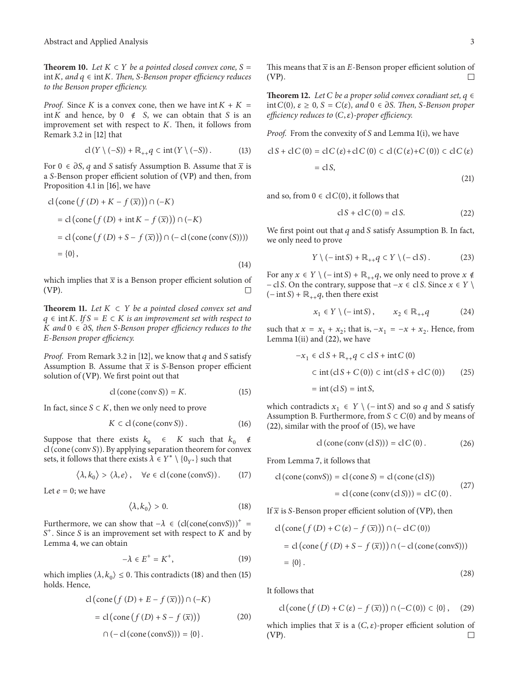**Theorem 10.** *Let*  $K \subset Y$  *be a pointed closed convex cone,*  $S =$  $int K$ , and  $q \in int K$ . Then, *S-Benson proper efficiency reduces to the Benson proper efficiency.*

*Proof.* Since K is a convex cone, then we have  $int K + K =$ int *K* and hence, by 0 ∉ S, we can obtain that S is an improvement set with respect to  $K$ . Then, it follows from Remark 3.2 in [\[12\]](#page-4-10) that

$$
\mathrm{cl}\,(Y\setminus(-S)) + \mathbb{R}_{++}q \subset \mathrm{int}\,(Y\setminus(-S))\,. \tag{13}
$$

For  $0 \in \partial S$ , q and S satisfy Assumption B. Assume that  $\bar{x}$  is a S-Benson proper efficient solution of ([VP](#page-1-0)) and then, from Proposition 4.1 in [\[16\]](#page-4-14), we have

$$
cl\left(\text{cone}\left(f\left(D\right) + K - f\left(\overline{x}\right)\right)\right) \cap \left(-K\right)
$$
\n
$$
= cl\left(\text{cone}\left(f\left(D\right) + \text{int}\left(K - f\left(\overline{x}\right)\right)\right) \cap \left(-K\right)
$$
\n
$$
= cl\left(\text{cone}\left(f\left(D\right) + S - f\left(\overline{x}\right)\right)\right) \cap \left(-cl\left(\text{cone}\left(\text{conv}\left(S\right)\right)\right)\right)
$$
\n
$$
= \{0\},\tag{14}
$$

which implies that  $\bar{x}$  is a Benson proper efficient solution of (VP). ([VP](#page-1-0)).

**Theorem 11.** *Let*  $K \subset Y$  *be a pointed closed convex set and*  $q ∈ int K$ *.* If  $S = E ∈ K$  *is an improvement set with respect to K* and  $0 \in \partial S$ , then *S*-Benson proper efficiency reduces to the *-Benson proper efficiency.*

*Proof.* From Remark 3.2 in [\[12\]](#page-4-10), we know that  $q$  and  $S$  satisfy Assumption B. Assume that  $\bar{x}$  is S-Benson proper efficient solution of ([VP](#page-1-0)). We first point out that

$$
cl (cone (conv S)) = K.
$$
 (15)

In fact, since  $S \subset K$ , then we only need to prove

$$
K \subset cl\left(\text{cone}\left(\text{conv}\,S\right)\right). \tag{16}
$$

Suppose that there exists  $k_0 \in K$  such that  $k_0 \notin$ cl (cone (conv S)). By applying separation theorem for convex sets, it follows that there exists  $\lambda \in Y^* \setminus \{0_{Y^*}\}\$  such that

$$
\langle \lambda, k_0 \rangle > \langle \lambda, e \rangle, \quad \forall e \in \text{cl} \, (\text{cone} \, (\text{convS}) ). \tag{17}
$$

Let  $e=0$ ; we have

$$
\langle \lambda, k_0 \rangle > 0. \tag{18}
$$

Furthermore, we can show that  $-\lambda \in (cl(cone(convS)))^+$  =  $S<sup>+</sup>$ . Since S is an improvement set with respect to K and by Lemma [4,](#page-1-2) we can obtain

$$
-\lambda \in E^+ = K^+, \tag{19}
$$

which implies  $\langle \lambda, k_0 \rangle \leq 0$ . This contradicts [\(18\)](#page-2-0) and then [\(15\)](#page-2-1) holds. Hence,

$$
cl(\text{cone}(f(D) + E - f(\overline{x}))) \cap (-K)
$$
  
= cl(\text{cone}(f(D) + S - f(\overline{x}))) (20)  

$$
\cap (-cl(\text{cone}(\text{conv}S))) = \{0\}.
$$

This means that  $\overline{x}$  is an E-Benson proper efficient solution of (VP). ([VP](#page-1-0)).

**Theorem 12.** *Let*  $C$  *be a proper solid convex coradiant set,*  $q \in$ int  $C(0)$ *,*  $\varepsilon$  ≥ 0*,*  $S = C(\varepsilon)$ *, and* 0 ∈ *∂S. Then, S*-Benson proper *efficiency reduces to*  $(C, \varepsilon)$ *-proper efficiency.* 

*Proof.* From the convexity of *S* and Lemma [1\(](#page-1-3)i), we have

$$
cl S + cl C (0) = cl C (\varepsilon) + cl C (0) \subset cl (C (\varepsilon) + C (0)) \subset cl C (\varepsilon)
$$
  
= cl S, (21)

and so, from  $0 \in cl C(0)$ , it follows that

<span id="page-2-2"></span>
$$
cl S + cl C (0) = cl S.
$$
 (22)

We first point out that  $q$  and  $S$  satisfy Assumption B. In fact, we only need to prove

$$
Y \setminus (-\operatorname{int} S) + \mathbb{R}_{++} q \subset Y \setminus (-\operatorname{cl} S). \tag{23}
$$

For any  $x \in Y \setminus (-\text{int } S) + \mathbb{R}_{++} q$ , we only need to prove  $x \notin$ − cl S. On the contrary, suppose that  $-x \in \text{cl } S$ . Since  $x \in Y \setminus \text{cl } S$  $(- \text{int } S) + \mathbb{R}_{++} q$ , then there exist

$$
x_1 \in Y \setminus (-\operatorname{int} S), \qquad x_2 \in \mathbb{R}_{++} q \tag{24}
$$

such that  $x = x_1 + x_2$ ; that is,  $-x_1 = -x + x_2$ . Hence, from Lemma [1\(](#page-1-3)ii) and [\(22\)](#page-2-2), we have

$$
-x_1 \in \text{cl } S + \mathbb{R}_{++}q \subset \text{cl } S + \text{int } C(0)
$$
  

$$
\subset \text{int } (\text{cl } S + C(0)) \subset \text{int } (\text{cl } S + \text{cl } C(0)) \tag{25}
$$
  

$$
= \text{int } (\text{cl } S) = \text{int } S,
$$

<span id="page-2-1"></span>which contradicts  $x_1$  ∈  $Y \ (− int S)$  and so  $q$  and  $S$  satisfy Assumption B. Furthermore, from  $S \subset C(0)$  and by means of [\(22\)](#page-2-2), similar with the proof of [\(15\)](#page-2-1), we have

$$
cl (cone (conv (cl S))) = cl C (0).
$$
 (26)

From Lemma [7,](#page-1-4) it follows that

$$
cl (cone (convS)) = cl (cone S) = cl (cone (cl S))
$$
  
= cl (cone (conv (cl S))) = cl C (0). (27)

<span id="page-2-0"></span>If  $\bar{x}$  is S-Benson proper efficient solution of ([VP](#page-1-0)), then

cl (cone 
$$
(f(D) + C(\varepsilon) - f(\overline{x}))
$$
)  $\cap$  (-cl  $C(0)$ )  
= cl (cone  $(f(D) + S - f(\overline{x}))$ )  $\cap$  (-cl (cone (convS)))  
= {0}.

It follows that

$$
\operatorname{cl} \left( \operatorname{cone} \left( f \left( D \right) + C \left( \varepsilon \right) - f \left( \overline{x} \right) \right) \right) \cap \left( -C \left( 0 \right) \right) \subset \{0\},\tag{29}
$$

(28)

which implies that  $\overline{x}$  is a  $(C, \varepsilon)$ -proper efficient solution of (VP). ([VP](#page-1-0)).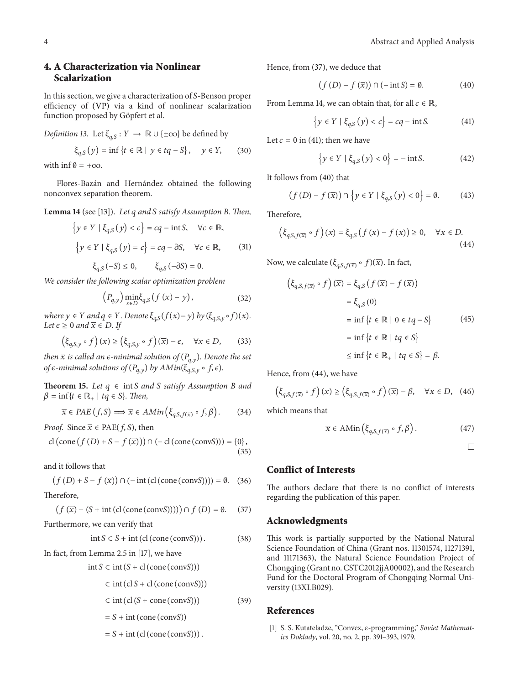# **4. A Characterization via Nonlinear Scalarization**

In this section, we give a characterization of  $S$ -Benson proper efficiency of ([VP](#page-1-0)) via a kind of nonlinear scalarization function proposed by Göpfert et al.

*Definition 13.* Let  $\xi_{a,S}: Y \to \mathbb{R} \cup \{\pm \infty\}$  be defined by

$$
\xi_{q,S}(y) = \inf \{ t \in \mathbb{R} \mid y \in tq - S \}, \quad y \in Y, \quad (30)
$$

with inf  $\emptyset = +\infty$ .

Flores-Bazán and Hernández obtained the following nonconvex separation theorem.

<span id="page-3-2"></span>**Lemma 14** (see [\[13](#page-4-11)]). *Let and satisfy Assumption B. Then,*

$$
\{y \in Y \mid \xi_{q,S}(y) < c\} = cq - \text{int } S, \quad \forall c \in \mathbb{R},
$$
\n
$$
\{y \in Y \mid \xi_{q,S}(y) = c\} = cq - \partial S, \quad \forall c \in \mathbb{R}, \tag{31}
$$
\n
$$
\xi_{q,S}(-S) \le 0, \quad \xi_{q,S}(-\partial S) = 0.
$$

*We consider the following scalar optimization problem*

$$
\left(P_{q,y}\right)\underset{x\in D}{\min}\xi_{q,S}\left(f\left(x\right)-y\right),\tag{32}
$$

*where*  $y \in Y$  *and*  $q \in Y$ *. Denote*  $\xi_{q,S}(f(x)-y)$  *by*  $(\xi_{q,S,y} \circ f)(x)$ *. Let*  $\epsilon \geq 0$  *and*  $\overline{x} \in D$ *. If* 

$$
\left(\xi_{q,S,y} \circ f\right)(x) \ge \left(\xi_{q,S,y} \circ f\right)(\overline{x}) - \epsilon, \quad \forall x \in D,\tag{33}
$$

*then*  $\bar{x}$  *is called an*  $\epsilon$ *-minimal solution of*  $(P_{a,y})$ *. Denote the set of*  $\epsilon$ -minimal solutions of  $(P_{q,y})$  by  $AMin(\xi_{q,S,y} \circ f, \epsilon)$ *.* 

**Theorem 15.** *Let*  $q \in \text{int } S$  *and*  $S$  *satisfy Assumption B and*  $\beta = \inf\{t \in \mathbb{R}_+ \mid tq \in S\}$ . Then,

$$
\overline{x} \in PAE(f, S) \Longrightarrow \overline{x} \in AMin(\xi_{q, S, f(\overline{x})} \circ f, \beta).
$$
 (34)

*Proof.* Since  $\overline{x} \in$  PAE $(f, S)$ , then

$$
\text{cl} \left(\text{cone} \left(f \left(D\right) + S - f \left(\overline{x}\right)\right)\right) \cap \left(-\text{cl} \left(\text{cone} \left(\text{conv} S\right)\right)\right) = \{0\},\tag{35}
$$

and it follows that

$$
(f(D) + S - f(\overline{x})) \cap (-\text{int (cl (cone (convS)))) = \emptyset. (36)
$$

Therefore,

$$
(f(\overline{x}) - (S + \text{int (cl (cone (convS))))) \cap f (D) = \emptyset. \tag{37}
$$

Furthermore, we can verify that

$$
int S \subset S + int (cl (cone (conv S))). \tag{38}
$$

In fact, from Lemma 2.5 in [\[17\]](#page-4-15), we have

 $int S \subset int (S + cl (cone (conv S)))$ 

$$
\subset
$$
 int (cl *S* + cl (cone (convS)))

$$
\subset \text{int} \left( \text{cl} \left( S + \text{cone} \left( \text{conv} S \right) \right) \right) \tag{39}
$$

 $= S + \text{int}(\text{cone}(\text{conv}S))$ 

$$
= S + \mathrm{int}\left(\mathrm{cl}\left(\mathrm{cone}\left(\mathrm{conv} S\right)\right)\right).
$$

Hence, from [\(37\)](#page-3-1), we deduce that

<span id="page-3-4"></span><span id="page-3-3"></span>
$$
(f(D) - f(\overline{x})) \cap (-\operatorname{int} S) = \emptyset. \tag{40}
$$

From Lemma [14,](#page-3-2) we can obtain that, for all  $c \in \mathbb{R}$ ,

$$
\{y \in Y \mid \xi_{q,S}(y) < c\} = cq - \text{int } S. \tag{41}
$$

Let  $c = 0$  in [\(41\)](#page-3-3); then we have

<span id="page-3-5"></span>
$$
\{y \in Y \mid \xi_{q,S}(y) < 0\} = -\inf S. \tag{42}
$$

It follows from [\(40\)](#page-3-4) that

$$
(f(D) - f(\bar{x})) \cap \{y \in Y \mid \xi_{q,S}(y) < 0\} = \emptyset. \tag{43}
$$

Therefore,

$$
\left(\xi_{q,S,f(\overline{x})}\circ f\right)(x) = \xi_{q,S}\left(f\left(x\right) - f\left(\overline{x}\right)\right) \ge 0, \quad \forall x \in D. \tag{44}
$$

Now, we calculate  $(\xi_{q,S,f(\overline{x})} \circ f)(\overline{x})$ . In fact,

$$
\begin{aligned} \left(\xi_{q,S,f(\overline{x})} \circ f\right)(\overline{x}) &= \xi_{q,S}\left(f\left(\overline{x}\right) - f\left(\overline{x}\right)\right) \\ &= \xi_{q,S}\left(0\right) \\ &= \inf\left\{t \in \mathbb{R} \mid 0 \in tq - S\right\} \end{aligned} \tag{45}
$$
\n
$$
= \inf\left\{t \in \mathbb{R} \mid tq \in S\right\}
$$
\n
$$
\leq \inf\left\{t \in \mathbb{R}_+ \mid tq \in S\right\} = \beta.
$$

Hence, from [\(44\)](#page-3-5), we have

$$
\left(\xi_{q,S,f(\overline{x})} \circ f\right)(x) \ge \left(\xi_{q,S,f(\overline{x})} \circ f\right)(\overline{x}) - \beta, \quad \forall x \in D, \quad (46)
$$

which means that

$$
\overline{x} \in \text{AMin}\left(\xi_{q,S,f(\overline{x})} \circ f, \beta\right). \tag{47}
$$

 $\Box$ 

# **Conflict of Interests**

The authors declare that there is no conflict of interests regarding the publication of this paper.

#### <span id="page-3-1"></span>**Acknowledgments**

This work is partially supported by the National Natural Science Foundation of China (Grant nos. 11301574, 11271391, and 11171363), the Natural Science Foundation Project of Chongqing (Grant no. CSTC2012jjA00002), and the Research Fund for the Doctoral Program of Chongqing Normal University (13XLB029).

#### **References**

<span id="page-3-0"></span>[1] S. S. Kutateladze, "Convex, ε-programming," Soviet Mathemat*ics Doklady*, vol. 20, no. 2, pp. 391–393, 1979.